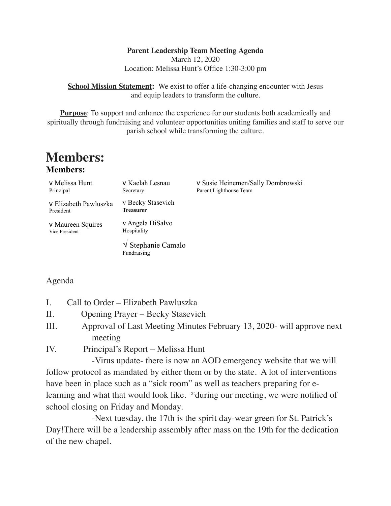### **Parent Leadership Team Meeting Agenda**

March 12, 2020 Location: Melissa Hunt's Office 1:30-3:00 pm

**School Mission Statement:** We exist to offer a life-changing encounter with Jesus and equip leaders to transform the culture.

**Purpose**: To support and enhance the experience for our students both academically and spiritually through fundraising and volunteer opportunities uniting families and staff to serve our parish school while transforming the culture.

# **Members: Members:**

| v Melissa Hunt<br>Principal         | v Kaelah Lesnau<br>Secretary                | v Susie Heinemen/Sally Dombrowski<br>Parent Lighthouse Team |
|-------------------------------------|---------------------------------------------|-------------------------------------------------------------|
| v Elizabeth Pawluszka<br>President  | v Becky Stasevich<br><b>Treasurer</b>       |                                                             |
| v Maureen Squires<br>Vice President | v Angela DiSalvo<br>Hospitality             |                                                             |
|                                     | $\sqrt{\ }$ Stephanie Camalo<br>Fundraising |                                                             |

## Agenda

- II. Opening Prayer Becky Stasevich
- III. Approval of Last Meeting Minutes February 13, 2020- will approve next meeting
- IV. Principal's Report Melissa Hunt

-Virus update- there is now an AOD emergency website that we will follow protocol as mandated by either them or by the state. A lot of interventions have been in place such as a "sick room" as well as teachers preparing for elearning and what that would look like. \*during our meeting, we were notified of school closing on Friday and Monday.

-Next tuesday, the 17th is the spirit day-wear green for St. Patrick's Day!There will be a leadership assembly after mass on the 19th for the dedication of the new chapel.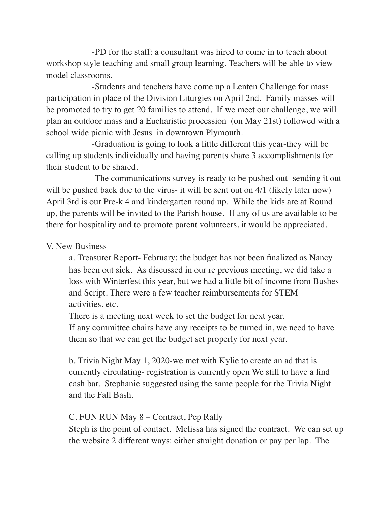-PD for the staff: a consultant was hired to come in to teach about workshop style teaching and small group learning. Teachers will be able to view model classrooms.

-Students and teachers have come up a Lenten Challenge for mass participation in place of the Division Liturgies on April 2nd. Family masses will be promoted to try to get 20 families to attend. If we meet our challenge, we will plan an outdoor mass and a Eucharistic procession (on May 21st) followed with a school wide picnic with Jesus in downtown Plymouth.

-Graduation is going to look a little different this year-they will be calling up students individually and having parents share 3 accomplishments for their student to be shared.

-The communications survey is ready to be pushed out- sending it out will be pushed back due to the virus- it will be sent out on 4/1 (likely later now) April 3rd is our Pre-k 4 and kindergarten round up. While the kids are at Round up, the parents will be invited to the Parish house. If any of us are available to be there for hospitality and to promote parent volunteers, it would be appreciated.

#### V. New Business

a. Treasurer Report- February: the budget has not been finalized as Nancy has been out sick. As discussed in our re previous meeting, we did take a loss with Winterfest this year, but we had a little bit of income from Bushes and Script. There were a few teacher reimbursements for STEM activities, etc.

There is a meeting next week to set the budget for next year. If any committee chairs have any receipts to be turned in, we need to have them so that we can get the budget set properly for next year.

b. Trivia Night May 1, 2020-we met with Kylie to create an ad that is currently circulating- registration is currently open We still to have a find cash bar. Stephanie suggested using the same people for the Trivia Night and the Fall Bash.

#### C. FUN RUN May 8 – Contract, Pep Rally

Steph is the point of contact. Melissa has signed the contract. We can set up the website 2 different ways: either straight donation or pay per lap. The